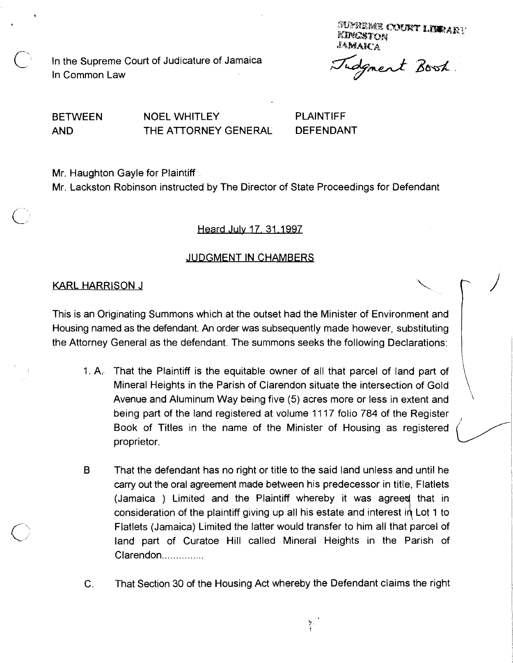SUPREME COURT LIMMARY KINGSTON ЈАМАК А

In the Supreme Court of Judicature of Jamaica In Common Law

dgment Book.

 $\vert$ 

\

BETWEEN NOEL WHITLEY PLAINTIFF AND THE ATTORNEY GENERAL DEFENDANT

Mr. Haughton Gayle for Plaintiff.

Mr. Lackston Robinson instructed by The Director of State Proceedings for Defendant

Heard July 17, 31, 1997

# JUDGMENT IN CHAMBERS

### KARL HARRISON J

This is an Originating Summons which at the outset had the Minister of Environment and Housing named as the defendant. An order was subsequently made however, substituting the Attorney General as the defendant. The sunimons seeks the following Declarations:

- 1. A. That the Plaintiff is the equitable owner of all that parcel of land part of Mineral Heights in the Parish of Clarendon situate the intersection of Gold Avenue and Aluminum Way being five (5) acres more or less in extent and being part of the land registered at volume 1117 folio 784 of the Register Book of Titles in the name of the Minister of Housing as registered  $\sim$  proprietor.
- B That the defendant has no right or title to the said land unless and until he carry out the oral agreement made between his predecessor in title, Flatlets (Jamaica) Limited and the Plaintiff whereby it was agreed that in consideration of the plaintiff giving up all his estate and interest in Lot 1 to Flatlets (Jamaica) Limited the latter would transfer to him all that parcel of land part of Curatoe Hill called Mineral Heights in the Parish of Clarendon...............
- C. That Section 30 of the Housing Act whereby the Defendant claims the right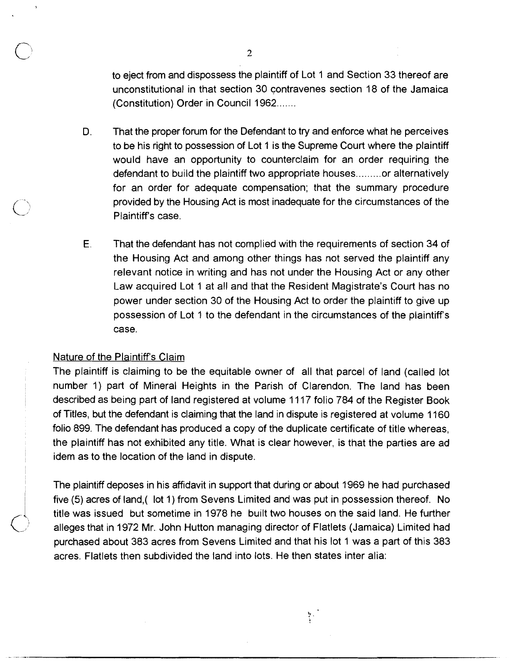to eject from and dispossess the plaintiff of Lot 1 and Section 33 thereof are unconstitutional in that section 30 contravenes section 18 of the Jamaica (Constitution) Order in Council 1962.......

- D. That the proper forum for the Defendant to try and enforce what he perceives to be his right to possession of Lot 1 is the Supreme Court where the plaintiff would have an opportunity to counterclaim for an order requiring the defendant to build the plaintiff two appropriate houses.........or alternatively for an order for adequate compensation; that the summary procedure provided by the Housing Act is most inadequate for the circumstances of the Plaintiff's case.
- **E.** That the defendant has not complied with the requirements of section 34 of the Housing Act and among other things has not served the plaintiff any relevant notice in writing and has not under the Housing Act or any other Law acquired Lot 1 at all and that the Resident Magistrate's Court has no power under section 30 of the Housing Act to order the plaintiff to give up possession of Lot 1 to the defendant in the circumstances of the plaintiff's case.

# Nature of the Plaintiff's Claim

The plaintiff is claiming to be the equitable owner of all that parcel of land (called lot number 1) part of Mineral Heights in the Parish of Clarendon. The land has been described as being part of land registered at volume 11 17 folio 784 of the Register Book of Titles, but the defendant is claiming that the land in dispute is registered at volume 1160 folio 899. 'The defendant has produced a copy of the duplicate certificate of title whereas, the plaintiff has not exhibited any title. What is clear however, is that the parties are ad idem as to the location of the land in dispute.

The plaintiff deposes in his affidavit in support that during or about 1969 he had purchased five (5) acres of land,( lot I) from Sevens Limited and was put in possession thereof. No title was issued but sometime in 1978 he built two houses on the said land. He further alleges that in 1972 Mr. John Hutton managing director of Flatlets (Jamaica) Limited had purchased about 383 acres from Sevens Limited and that his lot 1 was a part of this 383 acres. Flatlets then subdivided the land into lots. He then states inter alia:

Y.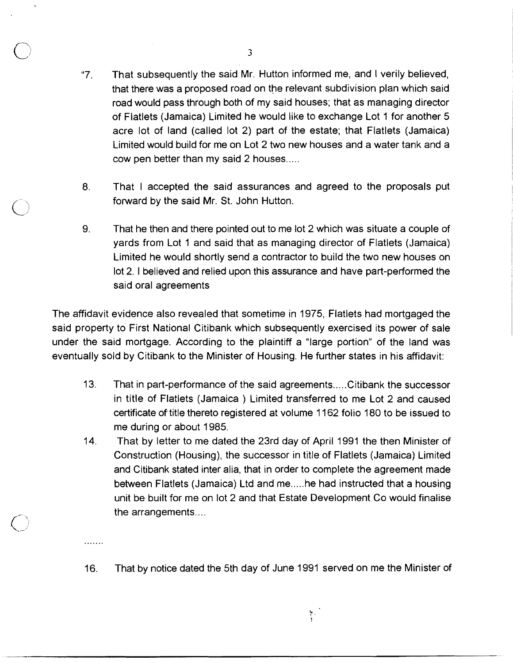- "7. That subsequently the said Mr. Hutton informed me, and I verily believed, that there was a proposed road on the relevant subdivision plan which said road would pass through both of my said houses; that as managing director of Flatlets (Jamaica) Limited he would like to exchange Lot 1 for another 5 acre lot of land (called lot 2) part of the estate; that Flatlets (Jamaica) Limited would build for me on Lot 2 two new houses and a water tank and a cow pen better than my said 2 houses.....
- **8.** That I accepted the said assurances and agreed to the proposals put forward by the said Mr. St. John Hutton.
- 9. That he then and there pointed out to me lot 2 which was situate a couple of yards from Lot 1 and said that as managing director of Flatlets (Jamaica) Limited he would shortly send a contractor to build the two new houses on lot 2. 1 believed and relied upon this assurance and have part-performed the said oral agreements

The affidavit evidence also revealed that sometime in 1975, Flatlets had mortgaged the said property to First National Citibank which subsequently exercised its power of sale under the said mortgage. According to the plaintiff a "large portion" of the land was eventually sold by Citibank to the Minister of Housing. He further states in his affidavit:

- 13. That in part-performance of the said agreements ..... Citibank the successor in title of Flatlets (Jamaica ) Limited transferred to me Lot 2 and caused certificate of' title thereto registered at volume 1 162 folio 180 to be issued to me during or about 1985.
- 14.. That by letter to me dated the 23rd day of April 1991 the then Minister of Construction (Housing), the successor in title of Flatlets (Jamaica) Limited and Citibank stated inter alia, that in order to complete the agreement made between Flatlets (Jamaica) Ltd and me.....he had instructed that a housing unit be built for me on lot 2 and that Estate Development Co would finalise the arrangements....
- 16. That by notice dated the 5th day of June 1991 served on me the Minister of

 $\sum_{i=1}^{N}$ 

. . . . . . .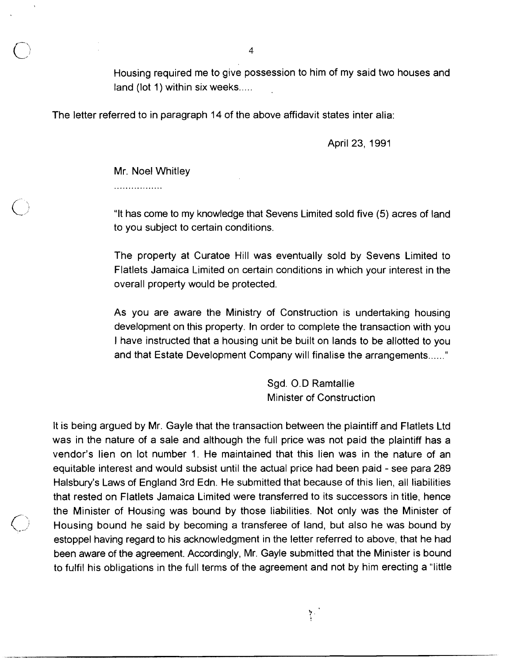Housing required me to give possession to him of my said two houses and land (lot 1) within six weeks.....

The letter referred to in paragraph 14 of the above affidavit states inter alia:

April 23, 1991

Mr. Noel Whitley

.................

"It has come to my knowledge that Sevens Limited sold five (5) acres of land to you subject to certain conditions.

The property at Curatoe Hill was eventually sold by Sevens Limited to Flatlets Jamaica Limited on certain conditions in which your interest in the overall property would be protected.

As you are aware the Ministry of Construction is undertaking housing development on this property. In order to complete the transaction with you I have instructed that a housing unit be built on lands to be allotted to you and that Estate Development Company will finalise the arrangements ......"

> Sgd. 0.D Ramtallie Minister of Construction

> > $\mathcal{F}^{\mathcal{F}}$

It is being argued by Mr. Gayle that the transaction between the plaintiff and Flatlets Ltd was in the nature of a sale and although the full price was not paid the plaintiff has a vendor's lien on lot number 1. He maintained that this lien was in the nature of an equitable interest and would subsist until the actual price had been paid - see para 289 Halsbury's Laws of England 3rd Edn. He submitted that because of this lien, all liabilities that rested on Flatlets Jamaica Limited were transferred to its successors in title, hence the Minister of Housing was bound by those liabilities. Not only was the Minister of Housing bound he said by becoming a transferee of land, but also he was bound by estoppel having regard to his acknowledgment in the letter referred to above, that he had been aware of the agreement. Accordingly, Mr. Gayle submitted that the Minister is bound to fulfil his obligations in the full terms of the agreement and not by him erecting a "little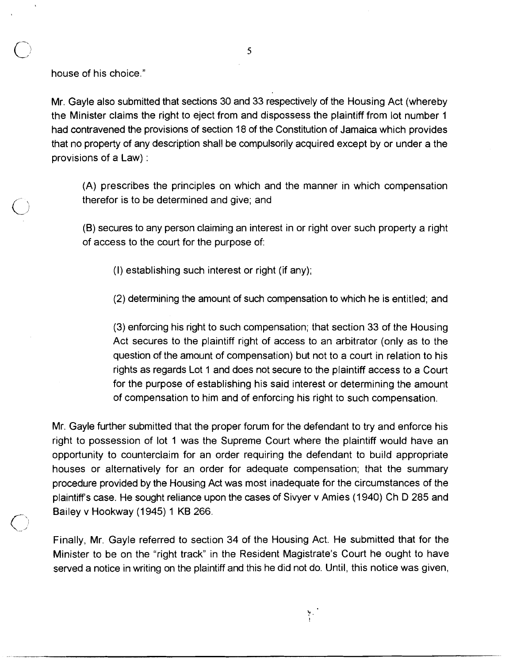house of his choice."

 $\bigcirc$ 

Mr. Gayle also submitted that sections 30 and 33 respectively of the Housing Act (whereby the Minister claims the right to eject from and dispossess the plaintiff from lot number 1 had contravened the provisions of section 18 of the Constitution of Jamaica which provides that no property of any description shall be compulsorily acquired except by or under a the provisions of a Law) :

(A) prescribes the principles on which and the manner in which compensation therefor is to be determined and give; and

(6) secures to any person claiming an interest in or right over such property a right of access to the court for the purpose of:

(I) establishing such interest or right (if any);

(2) determining the amount of such compensation to which he is entitled; and

(3) enforcing his right to such compensation; that section 33 of the Housing Act secures to the plaintiff right of access to an arbitrator (only as to the question of the amount of compensation) but not to a court in relation to his rights as regards Lot 1 and does not secure to the plaintiff access to a Court for the purpose of establishing his said interest or determining the amount of compensation to him and of enforcing his right to such compensation.

Mr. Gayle further submitted that the proper forum for the defendant to try and enforce his right to possession of lot 1 was the Supreme Court where the plaintiff would have an opportunity to counterclaim for an order requiring the defendant to build appropriate houses or alternatively for an order for adequate compensation; that the summary procedure provided by the Housing Act was most inadequate for the circumstances of the plaintiff's case. He sought reliance upon the cases of Sivyer v Amies (1940) Ch D 285 and Bailey v Hookway (1945) 1 KB 266.

Finally, Mr. Gayle referred to section 34 of the Housing Act. He submitted that for the Minister to be on the "right track" in the Resident Magistrate's Court he ought to have served a notice in writing on the plaintiff and this he did not do. Until, this notice was given,

 $\frac{1}{2}$  .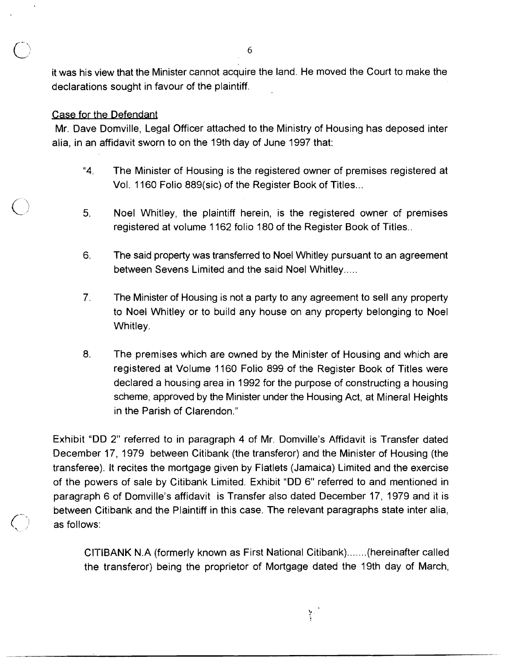it was his view that the Minister cannot acquire the land. He moved the Court to make the <sup>6</sup><br>it was his view that the Minister cannot acquire the landeclarations sought in favour of the plaintiff.<br>Case for the Defendant<br>Mr. Dave Domville, Legal Officer attached to the Min<br>alia, in an affidavit sworn to on the

Mr. Dave Domville, Legal Officer attached to the Ministry of Housing has deposed inter alia, in an affidavit sworn to on the 19th day of June 1997 that:

- **"4.** The Minister of Housing is the registered owner of premises registered at Vol. 1160 Folio 889(sic) of the Register Book of Titles ...
- 5. Noel Whitley, the plaintiff herein, is the registered owner of preniises registered at volume 1162 folio 180 of the Register Book of Titles..
- 6. The said property was transferred to Noel Whitley pursuant to an agreement between Sevens Limited and the said Noel Whitley.....
- 7. The Minister of Housing is not a party to any agreement to sell any property to Noel Whitley or to build any house on any property belonging to Noel Whitley.
- 8. The premises which are owned by the Minister of Housing and which are registered at Volume 1160 Folio 899 of the Register Book of Titles were declared a housing area in 1992 for the purpose of constructing a housing scheme, approved by the Minister under the Housing Act, at Mineral Heights in the Parish of Clarendon."

Exhibit "DD 2" referred to in paragraph 4 of Mr. Domville's Affidavit is Transfer dated December 17, 1979 between Citibank (the transferor) and the Minister of Housing (the transferee). It recites the mortgage given by Flatlets (Jamaica) Limited and the exercise of the powers of sale by Citibank Limited. Exhibit "DD 6" referred to and mentioned in paragraph 6 of Domville's affidavit is Transfer also dated December 17, 1979 and it is between Citibank and the Plaintiff in this case. The relevant paragraphs state inter alia,<br>as follows:

> CITIBANK N.A (formerly known as First National Citibank).......(hereinafter called the transferor) being the proprietor of Mortgage dated the 19th day of March,

> > $\mathcal{V}^{\pm}$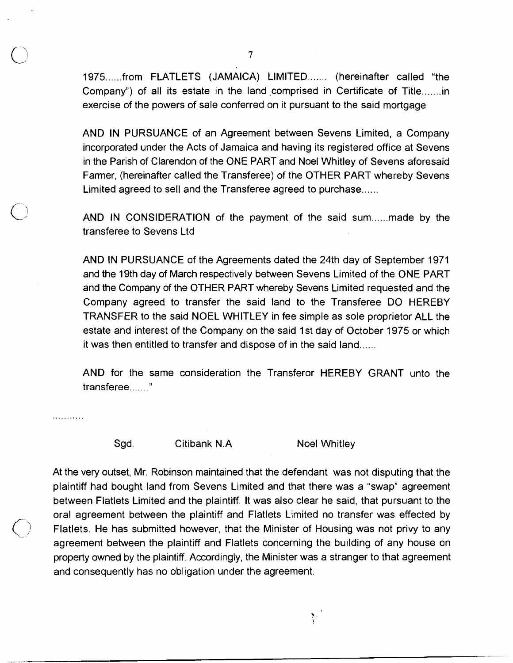1975......from FLATLETS (JAMAICA) LIMITED....... (hereinafter called "the Company") of all its estate in the land comprised in Certificate of Title....... in exercise of the powers of sale conferred on it pursuant to the said mortgage

AND IN PURSUANCE of an Agreement between Sevens Limited, a Company incorporated under the Acts of Jamaica and having its registered office at Sevens in the Parish of Clarendon of the ONE PART and Noel Whitley of Sevens aforesaid Farmer, (hereinafter called the Transferee) of the OTHER PART whereby Sevens Limited agreed to sell and the Transferee agreed to purchase......

AND IN CONSIDERATION of the payment of the said sum......made by the transferee to Sevens Ltd

AND IN PURSUANCE of the Agreements dated the 24th day of September 1971 and the 19th day of March respectively between Sevens Limited of the ONE PART and the Company of the OTHER PART whereby Sevens Limited requested and the Company agreed to transfer the said land to the Transferee DO HEREBY TRANSFER to the said NOEL WHITLEY in fee simple as sole proprietor ALL the estate and interest of the Company on the said 1 st day of October 1975 or which it was then entitled to transfer and dispose of in the said land......

AND for the same consideration the Transferor HEREBY GRANT unto the transferee........"

. . . . . . . . . . .

Sgd. Citibank N.A Noel Whitley

Y.

At the very outset, Mr. Robinson maintained that the defendant was not disputing that the plaintiff had bought land from Sevens Limited and that there was a "swap" agreement between Flatlets Limited and the plaintiff. It was also clear he said, that pursuant to the oral agreement between the plaintiff and Flatlets Limited no transfer was effected by Flatlets. He has submitted however, that the Minister of Housing was not privy to any agreement between the plaintiff and Flatlets concerning the building of any house on property owned by the plaintiff. Accordingly, the Minister was a stranger to that agreement and consequently has no obligation under the agreement.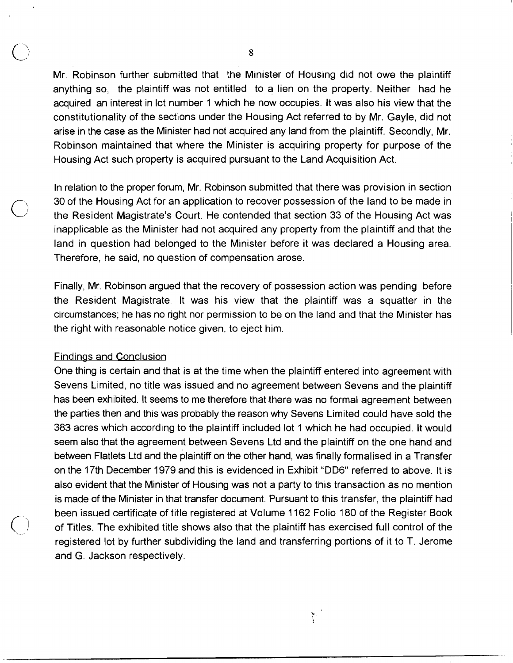Mr. Robinson further submitted that the Minister of Housing did not owe the plaintiff anything so, the plaintiff was not entitled to a lien on the property. Neither had he acquired an interest in lot number 1 which he now occupies. It was also his view that the constitutionality of the sections under the Housing Act referred to by Mr. Gayle, did not arise in the case as the Minister had not acquired any land from the plaintiff. Secondly, Mr. Robinson maintained that where the Minister is acquiring property for purpose of the Housing Act such property is acquired pursuant to the Land Acquisition Act.

In relation to the proper forum, Mr. Robinson submitted that there was provision in section 30 of the Housing Act for an application to recover possession of the land to be made in the Resident Magistrate's Court. He contended that section 33 of the Housing Act was inapplicable as the Minister had not acquired any property from the plaintiff and that the land in question had belonged to the Minister before it was declared a Housing area. Therefore, he said, no question of compensation arose.

Finally, Mr. Robinson argued that the recovery of possession action was pending before the Resident Magistrate. It was his view that the plaintiff was a squatter in the circumstances; he has no right nor permission to be on the land and that the Minister has the right with reasonable notice given, to eject him.

#### Findings and Conclusion

One thing is certain and that is at the time when the plaintiff entered into agreement with Sevens Limited, no title was issued and no agreement between Sevens and the plaintiff has been exhibited. It seems to me therefore that there was no formal agreement between the parties then and this was probably the reason why Sevens Limited could have sold the 383 acres which according to the plaintiff included lot 1 which he had occupied. It would seem also that the agreement between Sevens Ltd and the plaintiff on the one hand and between Flatlets Ltd and the plaintiff on the other hand, was finally formalised in a Transfer on the 17th December 1979 and this is evidenced in Exhibit "DD6" referred to above. It is also evident that the Minister of Housing was not a party to this transaction as no mention is made of the Minister in that transfer document. Pursuant to this transfer, the plaintiff had been issued certificate of title registered at Volume 1162 Folio 180 of the Register Book ( of Titles. The exhibited title shows also that the plaintiff has exercised full control of the registered lot by further subdividing the land and transferring portions of it to T. Jerome and G. Jackson respectively.

 $\mathcal{V}^{\pm}$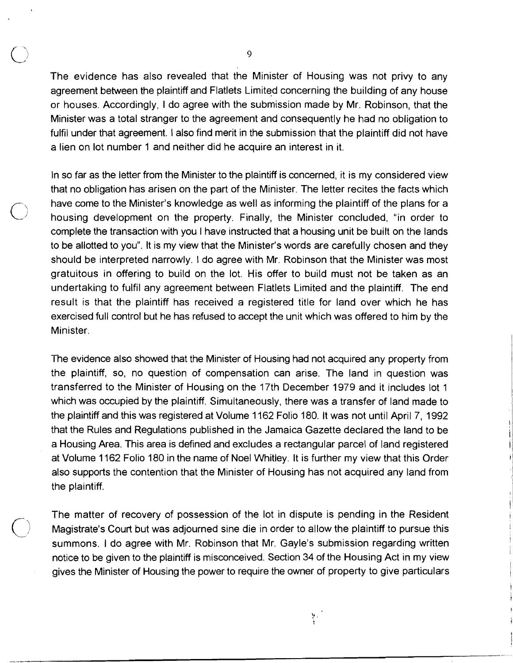The evidence has also revealed that the Minister of Housing was not privy to any agreement between the plaintiff and Flatlets Limited concerning the building of any house or houses. Accordingly, I do agree with the submission made by Mr. Robinson, that the Minister was a total stranger to the agreement and consequently he had no obligation to fulfil under that agreement. I also find merit in the submission that the plaintiff did not have a lien on lot nurnber 1 and neither did he acquire an interest in it.

In so far as the letter from the Minister to the plaintiff is concerned, it is my considered view that no obligation has arisen on the part of the Minister. The letter recites the facts which have come to the Minister's knowledge as well as informing the plaintiff of the plans for a housing development on the property. Finally, the Minister concluded, "in order to complete the transaction with you I have instructed that a housing unit be built on the lands to be allotted to you". It is my view that the Minister's words are carefully chosen and they should be interpreted narrowly. I do agree with Mr. Robinson that the Minister was most gratuitous in offering to build on the lot. His offer to build must not be taken as an undertaking to fulfil any agreement between Flatlets Limited and the plaintiff. The end result is that the plaintiff has received a registered title for land over which he has exercised full control but he has refused to accept the unit which was offered to him by the Minister.

The evidence also showed that the Minister of Housing had not acquired any property from the plaintiff, so, no question of compensation can arise. The land in question was transferred to the Minister of Housing on the 17th December 1979 and it includes lot 1 which was occupied by the plaintiff. Simultaneously, there was a transfer of land made to the plaintiff and this was registered at Volume 1162 Folio 180. It was not until April 7, 1992 that the Rules and Regulations published in the Jamaica Gazette declared the land to be a Housing Area. This area is defined and excludes a rectangular parcel of land registered at Volume 1162 Folio 180 in the name of Noel Whitley. It is further my view that this Order also supports the contention that the Minister of Housing has not acquired any land from the plaintiff.

The matter of recovery of possession of the lot in dispute is pending in the Resident Magistrate's Court but was adjourned sine die in order to allow the plaintiff to pursue this summons. I do agree with Mr. Robinson that Mr. Gayle's submission regarding written notice to be given to the plaintiff is misconceived. Section 34 of the Housing Act in my view gives the Minister of Housing the power to require the owner of property to give particulars

 $\frac{1}{2}$  .